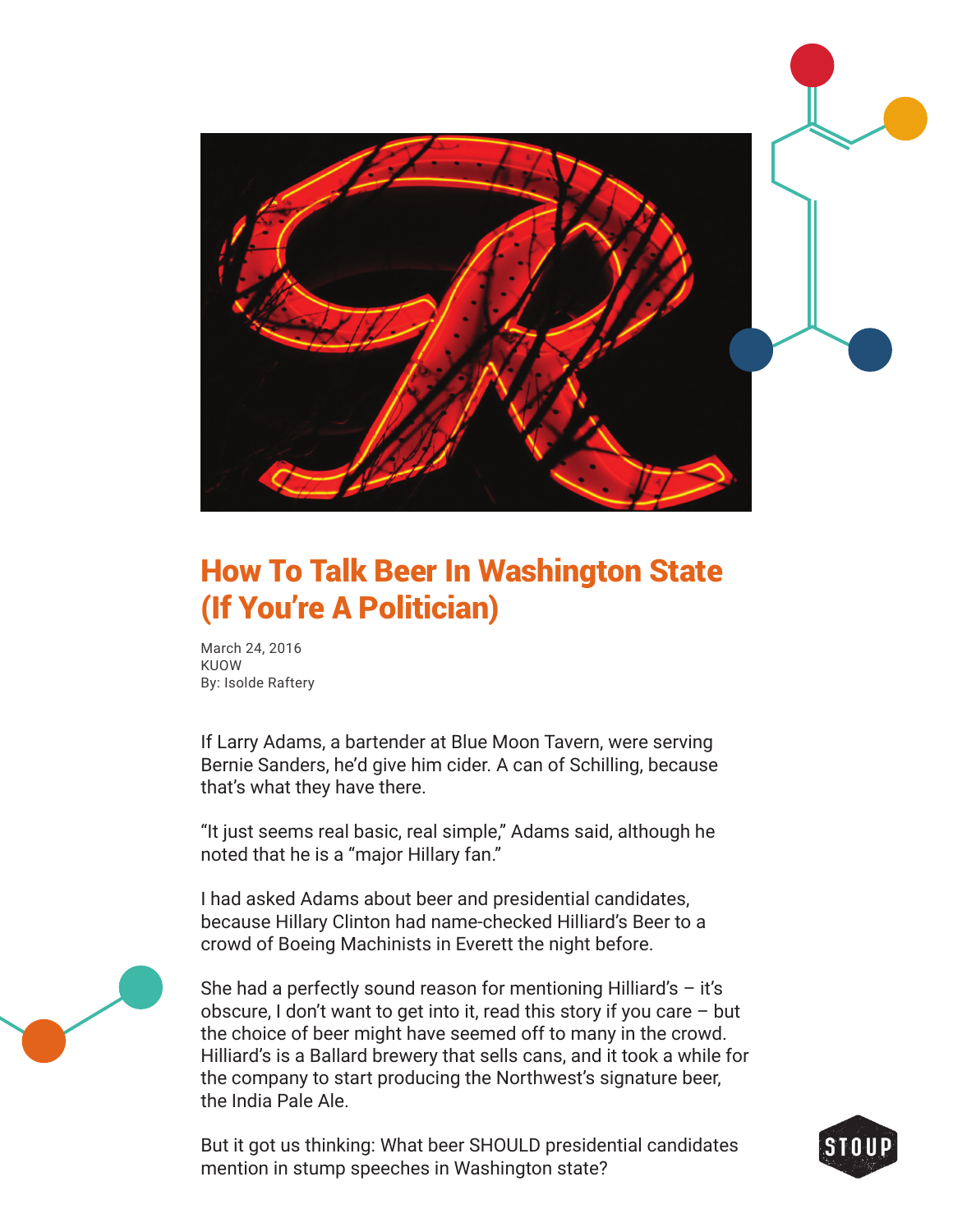

## How To Talk Beer In Washington State (If You're A Politician)

March 24, 2016 KUOW By: Isolde Raftery

If Larry Adams, a bartender at Blue Moon Tavern, were serving Bernie Sanders, he'd give him cider. A can of Schilling, because that's what they have there.

"It just seems real basic, real simple," Adams said, although he noted that he is a "major Hillary fan."

I had asked Adams about beer and presidential candidates, because Hillary Clinton had name-checked Hilliard's Beer to a crowd of Boeing Machinists in Everett the night before.

She had a perfectly sound reason for mentioning Hilliard's  $-$  it's obscure, I don't want to get into it, read this story if you care – but the choice of beer might have seemed off to many in the crowd. Hilliard's is a Ballard brewery that sells cans, and it took a while for the company to start producing the Northwest's signature beer, the India Pale Ale.

But it got us thinking: What beer SHOULD presidential candidates mention in stump speeches in Washington state?